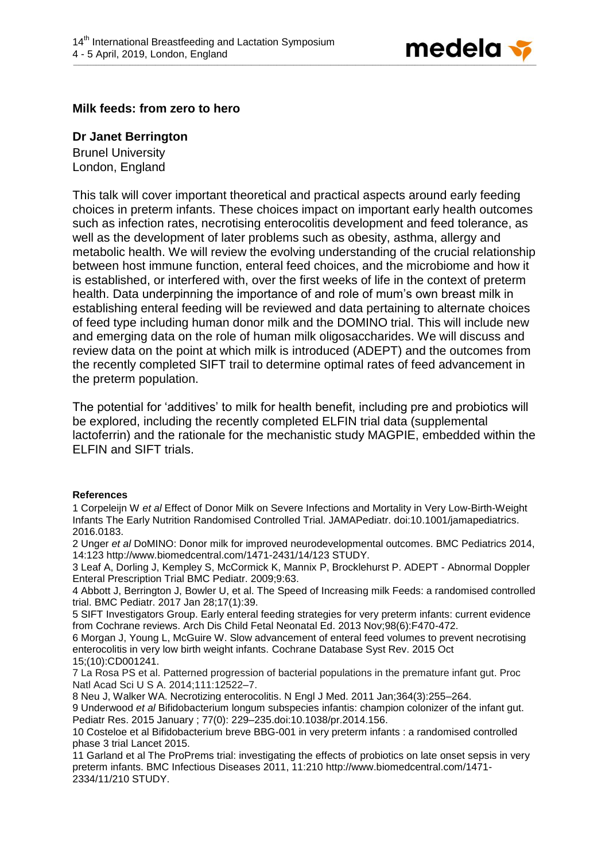

## **Milk feeds: from zero to hero**

## **Dr Janet Berrington**

Brunel University London, England

This talk will cover important theoretical and practical aspects around early feeding choices in preterm infants. These choices impact on important early health outcomes such as infection rates, necrotising enterocolitis development and feed tolerance, as well as the development of later problems such as obesity, asthma, allergy and metabolic health. We will review the evolving understanding of the crucial relationship between host immune function, enteral feed choices, and the microbiome and how it is established, or interfered with, over the first weeks of life in the context of preterm health. Data underpinning the importance of and role of mum's own breast milk in establishing enteral feeding will be reviewed and data pertaining to alternate choices of feed type including human donor milk and the DOMINO trial. This will include new and emerging data on the role of human milk oligosaccharides. We will discuss and review data on the point at which milk is introduced (ADEPT) and the outcomes from the recently completed SIFT trail to determine optimal rates of feed advancement in the preterm population.

The potential for 'additives' to milk for health benefit, including pre and probiotics will be explored, including the recently completed ELFIN trial data (supplemental lactoferrin) and the rationale for the mechanistic study MAGPIE, embedded within the ELFIN and SIFT trials.

## **References**

1 Corpeleijn W *et al* Effect of Donor Milk on Severe Infections and Mortality in Very Low-Birth-Weight Infants The Early Nutrition Randomised Controlled Trial. JAMAPediatr. doi:10.1001/jamapediatrics. 2016.0183.

2 Unger *et al* DoMINO: Donor milk for improved neurodevelopmental outcomes. BMC Pediatrics 2014, 14:123 http://www.biomedcentral.com/1471-2431/14/123 STUDY.

3 Leaf A, Dorling J, Kempley S, McCormick K, Mannix P, Brocklehurst P. ADEPT - Abnormal Doppler Enteral Prescription Trial BMC Pediatr. 2009;9:63.

4 Abbott J, Berrington J, Bowler U, et al. The Speed of Increasing milk Feeds: a randomised controlled trial. BMC Pediatr. 2017 Jan 28;17(1):39.

5 SIFT Investigators Group. Early enteral feeding strategies for very preterm infants: current evidence from Cochrane reviews. Arch Dis Child Fetal Neonatal Ed. 2013 Nov;98(6):F470-472.

6 Morgan J, Young L, McGuire W. Slow advancement of enteral feed volumes to prevent necrotising enterocolitis in very low birth weight infants. Cochrane Database Syst Rev. 2015 Oct 15;(10):CD001241.

7 La Rosa PS et al. Patterned progression of bacterial populations in the premature infant gut. Proc Natl Acad Sci U S A. 2014;111:12522–7.

8 Neu J, Walker WA. Necrotizing enterocolitis. N Engl J Med. 2011 Jan;364(3):255–264.

9 Underwood *et al* Bifidobacterium longum subspecies infantis: champion colonizer of the infant gut. Pediatr Res. 2015 January ; 77(0): 229–235.doi:10.1038/pr.2014.156.

10 Costeloe et al Bifidobacterium breve BBG-001 in very preterm infants : a randomised controlled phase 3 trial Lancet 2015.

11 Garland et al The ProPrems trial: investigating the effects of probiotics on late onset sepsis in very preterm infants. BMC Infectious Diseases 2011, 11:210 http://www.biomedcentral.com/1471- 2334/11/210 STUDY.